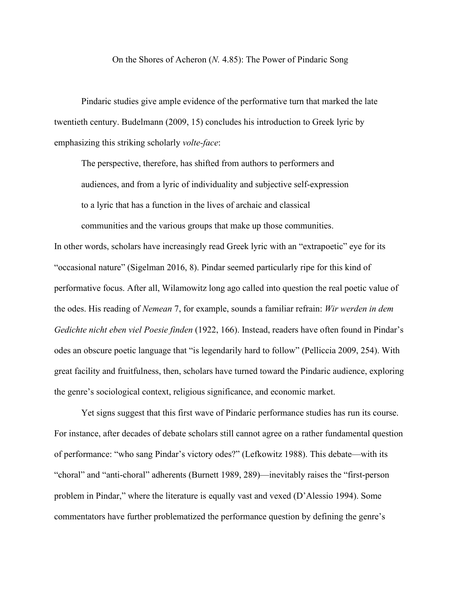On the Shores of Acheron (*N.* 4.85): The Power of Pindaric Song

Pindaric studies give ample evidence of the performative turn that marked the late twentieth century. Budelmann (2009, 15) concludes his introduction to Greek lyric by emphasizing this striking scholarly *volte-face*:

The perspective, therefore, has shifted from authors to performers and audiences, and from a lyric of individuality and subjective self-expression to a lyric that has a function in the lives of archaic and classical

communities and the various groups that make up those communities.

In other words, scholars have increasingly read Greek lyric with an "extrapoetic" eye for its "occasional nature" (Sigelman 2016, 8). Pindar seemed particularly ripe for this kind of performative focus. After all, Wilamowitz long ago called into question the real poetic value of

the odes. His reading of *Nemean* 7, for example, sounds a familiar refrain: *Wir werden in dem Gedichte nicht eben viel Poesie finden* (1922, 166). Instead, readers have often found in Pindar's odes an obscure poetic language that "is legendarily hard to follow" (Pelliccia 2009, 254). With great facility and fruitfulness, then, scholars have turned toward the Pindaric audience, exploring the genre's sociological context, religious significance, and economic market.

Yet signs suggest that this first wave of Pindaric performance studies has run its course. For instance, after decades of debate scholars still cannot agree on a rather fundamental question of performance: "who sang Pindar's victory odes?" (Lefkowitz 1988). This debate—with its "choral" and "anti-choral" adherents (Burnett 1989, 289)—inevitably raises the "first-person problem in Pindar," where the literature is equally vast and vexed (D'Alessio 1994). Some commentators have further problematized the performance question by defining the genre's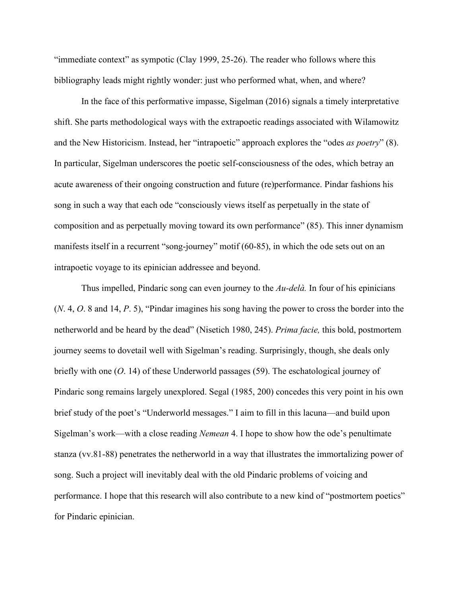"immediate context" as sympotic (Clay 1999, 25-26). The reader who follows where this bibliography leads might rightly wonder: just who performed what, when, and where?

In the face of this performative impasse, Sigelman (2016) signals a timely interpretative shift. She parts methodological ways with the extrapoetic readings associated with Wilamowitz and the New Historicism. Instead, her "intrapoetic" approach explores the "odes *as poetry*" (8). In particular, Sigelman underscores the poetic self-consciousness of the odes, which betray an acute awareness of their ongoing construction and future (re)performance. Pindar fashions his song in such a way that each ode "consciously views itself as perpetually in the state of composition and as perpetually moving toward its own performance" (85). This inner dynamism manifests itself in a recurrent "song-journey" motif (60-85), in which the ode sets out on an intrapoetic voyage to its epinician addressee and beyond.

Thus impelled, Pindaric song can even journey to the *Au-delà.* In four of his epinicians (*N*. 4, *O*. 8 and 14, *P*. 5), "Pindar imagines his song having the power to cross the border into the netherworld and be heard by the dead" (Nisetich 1980, 245). *Prima facie,* this bold, postmortem journey seems to dovetail well with Sigelman's reading. Surprisingly, though, she deals only briefly with one (*O*. 14) of these Underworld passages (59). The eschatological journey of Pindaric song remains largely unexplored. Segal (1985, 200) concedes this very point in his own brief study of the poet's "Underworld messages." I aim to fill in this lacuna—and build upon Sigelman's work—with a close reading *Nemean* 4. I hope to show how the ode's penultimate stanza (vv.81-88) penetrates the netherworld in a way that illustrates the immortalizing power of song. Such a project will inevitably deal with the old Pindaric problems of voicing and performance. I hope that this research will also contribute to a new kind of "postmortem poetics" for Pindaric epinician.